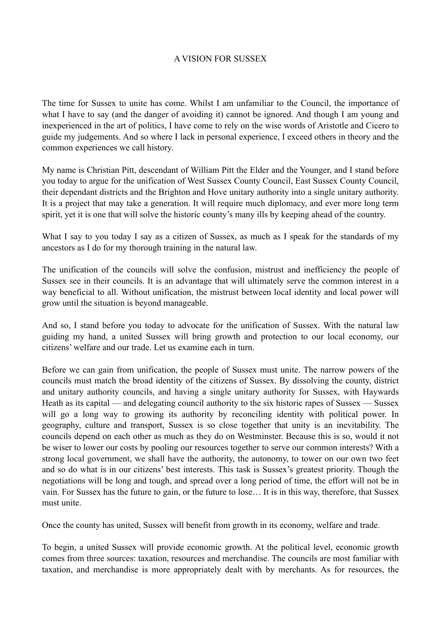## A VISION FOR SUSSEX

The time for Sussex to unite has come. Whilst I am unfamiliar to the Council, the importance of what I have to say (and the danger of avoiding it) cannot be ignored. And though I am young and inexperienced in the art of politics, I have come to rely on the wise words of Aristotle and Cicero to guide my judgements. And so where I lack in personal experience, I exceed others in theory and the common experiences we call history.

My name is Christian Pitt, descendant of William Pitt the Elder and the Younger, and I stand before you today to argue for the unification of West Sussex County Council, East Sussex County Council, their dependant districts and the Brighton and Hove unitary authority into a single unitary authority. It is a project that may take a generation. It will require much diplomacy, and ever more long term spirit, yet it is one that will solve the historic county's many ills by keeping ahead of the country.

What I say to you today I say as a citizen of Sussex, as much as I speak for the standards of my ancestors as I do for my thorough training in the natural law.

The unification of the councils will solve the confusion, mistrust and inefficiency the people of Sussex see in their councils. It is an advantage that will ultimately serve the common interest in a way beneficial to all. Without unification, the mistrust between local identity and local power will grow until the situation is beyond manageable.

And so, I stand before you today to advocate for the unification of Sussex. With the natural law guiding my hand, a united Sussex will bring growth and protection to our local economy, our citizens' welfare and our trade. Let us examine each in turn.

Before we can gain from unification, the people of Sussex must unite. The narrow powers of the councils must match the broad identity of the citizens of Sussex. By dissolving the county, district and unitary authority councils, and having a single unitary authority for Sussex, with Haywards Heath as its capital — and delegating council authority to the six historic rapes of Sussex — Sussex will go a long way to growing its authority by reconciling identity with political power. In geography, culture and transport, Sussex is so close together that unity is an inevitability. The councils depend on each other as much as they do on Westminster. Because this is so, would it not be wiser to lower our costs by pooling our resources together to serve our common interests? With a strong local government, we shall have the authority, the autonomy, to tower on our own two feet and so do what is in our citizens' best interests. This task is Sussex's greatest priority. Though the negotiations will be long and tough, and spread over a long period of time, the effort will not be in vain. For Sussex has the future to gain, or the future to lose… It is in this way, therefore, that Sussex must unite.

Once the county has united, Sussex will benefit from growth in its economy, welfare and trade.

To begin, a united Sussex will provide economic growth. At the political level, economic growth comes from three sources: taxation, resources and merchandise. The councils are most familiar with taxation, and merchandise is more appropriately dealt with by merchants. As for resources, the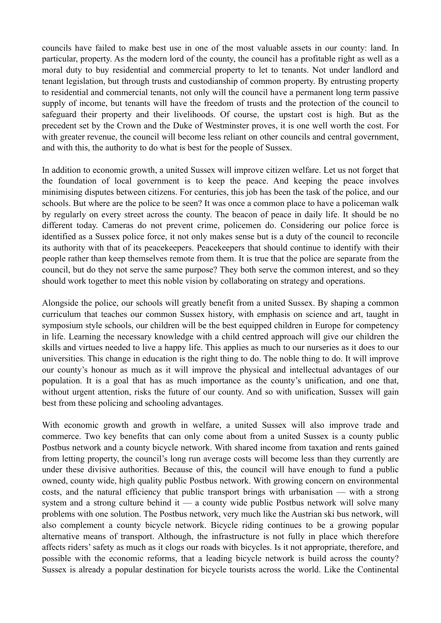councils have failed to make best use in one of the most valuable assets in our county: land. In particular, property. As the modern lord of the county, the council has a profitable right as well as a moral duty to buy residential and commercial property to let to tenants. Not under landlord and tenant legislation, but through trusts and custodianship of common property. By entrusting property to residential and commercial tenants, not only will the council have a permanent long term passive supply of income, but tenants will have the freedom of trusts and the protection of the council to safeguard their property and their livelihoods. Of course, the upstart cost is high. But as the precedent set by the Crown and the Duke of Westminster proves, it is one well worth the cost. For with greater revenue, the council will become less reliant on other councils and central government, and with this, the authority to do what is best for the people of Sussex.

In addition to economic growth, a united Sussex will improve citizen welfare. Let us not forget that the foundation of local government is to keep the peace. And keeping the peace involves minimising disputes between citizens. For centuries, this job has been the task of the police, and our schools. But where are the police to be seen? It was once a common place to have a policeman walk by regularly on every street across the county. The beacon of peace in daily life. It should be no different today. Cameras do not prevent crime, policemen do. Considering our police force is identified as a Sussex police force, it not only makes sense but is a duty of the council to reconcile its authority with that of its peacekeepers. Peacekeepers that should continue to identify with their people rather than keep themselves remote from them. It is true that the police are separate from the council, but do they not serve the same purpose? They both serve the common interest, and so they should work together to meet this noble vision by collaborating on strategy and operations.

Alongside the police, our schools will greatly benefit from a united Sussex. By shaping a common curriculum that teaches our common Sussex history, with emphasis on science and art, taught in symposium style schools, our children will be the best equipped children in Europe for competency in life. Learning the necessary knowledge with a child centred approach will give our children the skills and virtues needed to live a happy life. This applies as much to our nurseries as it does to our universities. This change in education is the right thing to do. The noble thing to do. It will improve our county's honour as much as it will improve the physical and intellectual advantages of our population. It is a goal that has as much importance as the county's unification, and one that, without urgent attention, risks the future of our county. And so with unification, Sussex will gain best from these policing and schooling advantages.

With economic growth and growth in welfare, a united Sussex will also improve trade and commerce. Two key benefits that can only come about from a united Sussex is a county public Postbus network and a county bicycle network. With shared income from taxation and rents gained from letting property, the council's long run average costs will become less than they currently are under these divisive authorities. Because of this, the council will have enough to fund a public owned, county wide, high quality public Postbus network. With growing concern on environmental costs, and the natural efficiency that public transport brings with urbanisation — with a strong system and a strong culture behind it — a county wide public Postbus network will solve many problems with one solution. The Postbus network, very much like the Austrian ski bus network, will also complement a county bicycle network. Bicycle riding continues to be a growing popular alternative means of transport. Although, the infrastructure is not fully in place which therefore affects riders' safety as much as it clogs our roads with bicycles. Is it not appropriate, therefore, and possible with the economic reforms, that a leading bicycle network is build across the county? Sussex is already a popular destination for bicycle tourists across the world. Like the Continental